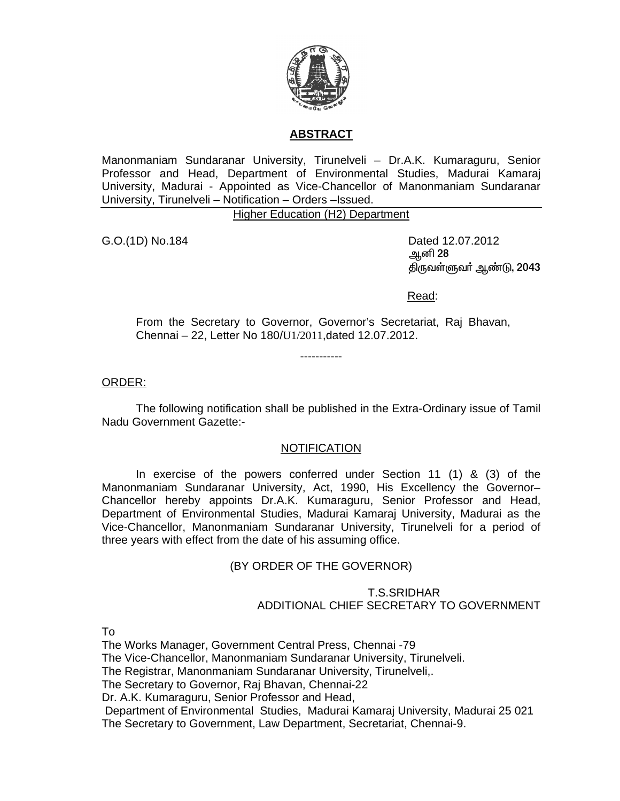

## **ABSTRACT**

Manonmaniam Sundaranar University, Tirunelveli – Dr.A.K. Kumaraguru, Senior Professor and Head, Department of Environmental Studies, Madurai Kamaraj University, Madurai - Appointed as Vice-Chancellor of Manonmaniam Sundaranar University, Tirunelveli – Notification – Orders –Issued.

Higher Education (H2) Department

G.O.(1D) No.184 Dated 12.07.2012 ஆனி 28 திருவள்ளுவர் ஆண்டு, 2043

Read:

From the Secretary to Governor, Governor's Secretariat, Raj Bhavan, Chennai – 22, Letter No 180/U1/2011,dated 12.07.2012.

-----------

ORDER:

 The following notification shall be published in the Extra-Ordinary issue of Tamil Nadu Government Gazette:-

## NOTIFICATION

 In exercise of the powers conferred under Section 11 (1) & (3) of the Manonmaniam Sundaranar University, Act, 1990, His Excellency the Governor– Chancellor hereby appoints Dr.A.K. Kumaraguru, Senior Professor and Head, Department of Environmental Studies, Madurai Kamaraj University, Madurai as the Vice-Chancellor, Manonmaniam Sundaranar University, Tirunelveli for a period of three years with effect from the date of his assuming office.

## (BY ORDER OF THE GOVERNOR)

 T.S.SRIDHAR ADDITIONAL CHIEF SECRETARY TO GOVERNMENT

To

The Works Manager, Government Central Press, Chennai -79 The Vice-Chancellor, Manonmaniam Sundaranar University, Tirunelveli. The Registrar, Manonmaniam Sundaranar University, Tirunelveli,. The Secretary to Governor, Raj Bhavan, Chennai-22 Dr. A.K. Kumaraguru, Senior Professor and Head, Department of Environmental Studies, Madurai Kamaraj University, Madurai 25 021 The Secretary to Government, Law Department, Secretariat, Chennai-9.